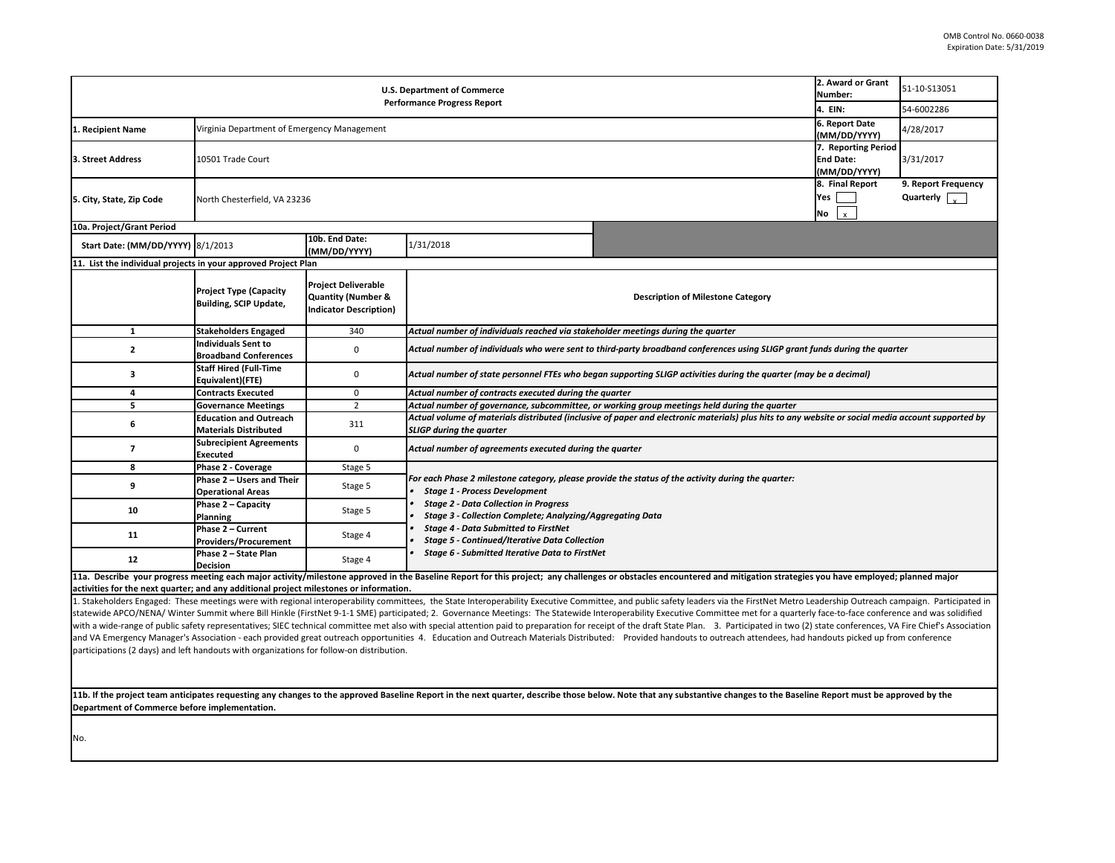**11b. If the project team anticipates requesting any changes to the approved Baseline Report in the next quarter, describe those below. Note that any substantive Department of Commerce before implementation.** 

1. Stakeholders Engaged: These meetings were with regional interoperability committees, the State Interoperability Executive Committee, and public safety leaders vi statewide APCO/NENA/ Winter Summit where Bill Hinkle (FirstNet 9-1-1 SME) participated; 2. Governance Meetings: The Statewide Interoperability Executive Commi with a wide-range of public safety representatives; SIEC technical committee met also with special attention paid to preparation for receipt of the draft State Plan. 3. and VA Emergency Manager's Association - each provided great outreach opportunities 4. Education and Outreach Materials Distributed: Provided handouts to out participations (2 days) and left handouts with organizations for follow-on distribution.

|                                                                                                                                    | 2. Award or Grant<br>Number:            | 51-10-S13051        |  |  |  |
|------------------------------------------------------------------------------------------------------------------------------------|-----------------------------------------|---------------------|--|--|--|
|                                                                                                                                    | 4. EIN:                                 | 54-6002286          |  |  |  |
|                                                                                                                                    | 6. Report Date                          | 4/28/2017           |  |  |  |
|                                                                                                                                    | (MM/DD/YYYY)                            |                     |  |  |  |
|                                                                                                                                    | 7. Reporting Period<br><b>End Date:</b> | 3/31/2017           |  |  |  |
|                                                                                                                                    | (MM/DD/YYYY)                            |                     |  |  |  |
|                                                                                                                                    | 8. Final Report                         | 9. Report Frequency |  |  |  |
|                                                                                                                                    | Yes                                     | Quarterly           |  |  |  |
|                                                                                                                                    | No<br>x                                 |                     |  |  |  |
|                                                                                                                                    |                                         |                     |  |  |  |
|                                                                                                                                    |                                         |                     |  |  |  |
|                                                                                                                                    |                                         |                     |  |  |  |
|                                                                                                                                    |                                         |                     |  |  |  |
| ne Category                                                                                                                        |                                         |                     |  |  |  |
|                                                                                                                                    |                                         |                     |  |  |  |
| rter                                                                                                                               |                                         |                     |  |  |  |
| nces using SLIGP grant funds during the quarter                                                                                    |                                         |                     |  |  |  |
|                                                                                                                                    |                                         |                     |  |  |  |
| luring the quarter (may be a decimal)                                                                                              |                                         |                     |  |  |  |
|                                                                                                                                    |                                         |                     |  |  |  |
| during the quarter<br>ials) plus hits to any website or social media account supported by                                          |                                         |                     |  |  |  |
|                                                                                                                                    |                                         |                     |  |  |  |
|                                                                                                                                    |                                         |                     |  |  |  |
|                                                                                                                                    |                                         |                     |  |  |  |
| luring the quarter:                                                                                                                |                                         |                     |  |  |  |
|                                                                                                                                    |                                         |                     |  |  |  |
|                                                                                                                                    |                                         |                     |  |  |  |
|                                                                                                                                    |                                         |                     |  |  |  |
|                                                                                                                                    |                                         |                     |  |  |  |
|                                                                                                                                    |                                         |                     |  |  |  |
| d mitigation strategies you have employed; planned major                                                                           |                                         |                     |  |  |  |
| ia the FirstNet Metro Leadership Outreach campaign. Participated in                                                                |                                         |                     |  |  |  |
| ittee met for a quarterly face-to-face conference and was solidified                                                               |                                         |                     |  |  |  |
| Participated in two (2) state conferences, VA Fire Chief's Association<br>treach attendees, had handouts picked up from conference |                                         |                     |  |  |  |
|                                                                                                                                    |                                         |                     |  |  |  |
|                                                                                                                                    |                                         |                     |  |  |  |
|                                                                                                                                    |                                         |                     |  |  |  |
| changes to the Baseline Report must be approved by the                                                                             |                                         |                     |  |  |  |
|                                                                                                                                    |                                         |                     |  |  |  |
|                                                                                                                                    |                                         |                     |  |  |  |

| <b>U.S. Department of Commerce</b><br><b>Performance Progress Report</b>               |                                                                               |                                                                                   | 2. Award or Grant<br>Number:                                                                                                                                                                                                                                                                                                                                                                                                   | 51-10-S13051                                                                                                                                                                                                           |                                                       |           |  |
|----------------------------------------------------------------------------------------|-------------------------------------------------------------------------------|-----------------------------------------------------------------------------------|--------------------------------------------------------------------------------------------------------------------------------------------------------------------------------------------------------------------------------------------------------------------------------------------------------------------------------------------------------------------------------------------------------------------------------|------------------------------------------------------------------------------------------------------------------------------------------------------------------------------------------------------------------------|-------------------------------------------------------|-----------|--|
|                                                                                        |                                                                               |                                                                                   | 4. EIN:                                                                                                                                                                                                                                                                                                                                                                                                                        | 54-6002286                                                                                                                                                                                                             |                                                       |           |  |
| Recipient Name                                                                         | 6. Report Date<br>Virginia Department of Emergency Management<br>(MM/DD/YYYY) |                                                                                   |                                                                                                                                                                                                                                                                                                                                                                                                                                |                                                                                                                                                                                                                        |                                                       | 4/28/2017 |  |
| 3. Street Address                                                                      | 7. Reporting Period<br>10501 Trade Court<br><b>End Date:</b><br>(MM/DD/YYYY)  |                                                                                   |                                                                                                                                                                                                                                                                                                                                                                                                                                |                                                                                                                                                                                                                        |                                                       | 3/31/2017 |  |
| North Chesterfield, VA 23236<br>5. City, State, Zip Code                               |                                                                               |                                                                                   |                                                                                                                                                                                                                                                                                                                                                                                                                                | 8. Final Report<br>Yes<br>No<br>$\mathsf{x}$                                                                                                                                                                           | 9. Report Frequency<br>Quarterly $\sqrt{\frac{1}{x}}$ |           |  |
| 10a. Project/Grant Period                                                              |                                                                               |                                                                                   |                                                                                                                                                                                                                                                                                                                                                                                                                                |                                                                                                                                                                                                                        |                                                       |           |  |
| <b>Start Date: (MM/DD/YYYY) 8/1/2013</b>                                               |                                                                               | 10b. End Date:<br>(MM/DD/YYYY)                                                    | 1/31/2018                                                                                                                                                                                                                                                                                                                                                                                                                      |                                                                                                                                                                                                                        |                                                       |           |  |
| 11. List the individual projects in your approved Project Plan                         |                                                                               |                                                                                   |                                                                                                                                                                                                                                                                                                                                                                                                                                |                                                                                                                                                                                                                        |                                                       |           |  |
|                                                                                        | <b>Project Type (Capacity</b><br><b>Building, SCIP Update,</b>                | <b>Project Deliverable</b><br>Quantity (Number &<br><b>Indicator Description)</b> |                                                                                                                                                                                                                                                                                                                                                                                                                                | <b>Description of Milestone Category</b>                                                                                                                                                                               |                                                       |           |  |
|                                                                                        | <b>Stakeholders Engaged</b>                                                   | 340                                                                               | Actual number of individuals reached via stakeholder meetings during the quarter                                                                                                                                                                                                                                                                                                                                               |                                                                                                                                                                                                                        |                                                       |           |  |
| $\mathbf{2}$                                                                           | <b>Individuals Sent to</b><br><b>Broadband Conferences</b>                    | 0                                                                                 | Actual number of individuals who were sent to third-party broadband conferences using SLIGP grant funds during the quarter                                                                                                                                                                                                                                                                                                     |                                                                                                                                                                                                                        |                                                       |           |  |
| 3                                                                                      | <b>Staff Hired (Full-Time</b><br>Equivalent)(FTE)                             | 0                                                                                 | Actual number of state personnel FTEs who began supporting SLIGP activities during the quarter (may be a decimal)                                                                                                                                                                                                                                                                                                              |                                                                                                                                                                                                                        |                                                       |           |  |
|                                                                                        | <b>Contracts Executed</b>                                                     | $\mathbf 0$                                                                       | Actual number of contracts executed during the quarter                                                                                                                                                                                                                                                                                                                                                                         |                                                                                                                                                                                                                        |                                                       |           |  |
|                                                                                        | <b>Governance Meetings</b>                                                    | $\overline{2}$                                                                    | Actual number of governance, subcommittee, or working group meetings held during the quarter                                                                                                                                                                                                                                                                                                                                   |                                                                                                                                                                                                                        |                                                       |           |  |
| 6                                                                                      | <b>Education and Outreach</b><br><b>Materials Distributed</b>                 | 311                                                                               | Actual volume of materials distributed (inclusive of paper and electronic materials) plus hits to any website or social media account supported by<br><b>SLIGP during the quarter</b>                                                                                                                                                                                                                                          |                                                                                                                                                                                                                        |                                                       |           |  |
|                                                                                        | <b>Subrecipient Agreements</b><br><b>Executed</b>                             | $\mathbf 0$                                                                       | Actual number of agreements executed during the quarter                                                                                                                                                                                                                                                                                                                                                                        |                                                                                                                                                                                                                        |                                                       |           |  |
| 8                                                                                      | <b>Phase 2 - Coverage</b>                                                     | Stage 5                                                                           |                                                                                                                                                                                                                                                                                                                                                                                                                                |                                                                                                                                                                                                                        |                                                       |           |  |
| 9                                                                                      | Phase 2 – Users and Their<br><b>Operational Areas</b>                         | Stage 5                                                                           | For each Phase 2 milestone category, please provide the status of the activity during the quarter:<br><b>Stage 1 - Process Development</b><br><b>Stage 2 - Data Collection in Progress</b><br><b>Stage 3 - Collection Complete; Analyzing/Aggregating Data</b><br><b>Stage 4 - Data Submitted to FirstNet</b><br><b>Stage 5 - Continued/Iterative Data Collection</b><br><b>Stage 6 - Submitted Iterative Data to FirstNet</b> |                                                                                                                                                                                                                        |                                                       |           |  |
| 10                                                                                     | Phase $2 -$ Capacity<br><b>Planning</b>                                       | Stage 5                                                                           |                                                                                                                                                                                                                                                                                                                                                                                                                                |                                                                                                                                                                                                                        |                                                       |           |  |
| 11                                                                                     | Phase 2 - Current<br><b>Providers/Procurement</b>                             | Stage 4                                                                           |                                                                                                                                                                                                                                                                                                                                                                                                                                |                                                                                                                                                                                                                        |                                                       |           |  |
| 12                                                                                     | Phase 2 - State Plan<br><b>Decision</b>                                       | Stage 4                                                                           |                                                                                                                                                                                                                                                                                                                                                                                                                                |                                                                                                                                                                                                                        |                                                       |           |  |
| activities for the next quarter; and any additional project milestones or information. |                                                                               |                                                                                   |                                                                                                                                                                                                                                                                                                                                                                                                                                | 11a. Describe your progress meeting each major activity/milestone approved in the Baseline Report for this project; any challenges or obstacles encountered and mitigation strategies you have employed; planned major |                                                       |           |  |
|                                                                                        |                                                                               |                                                                                   |                                                                                                                                                                                                                                                                                                                                                                                                                                |                                                                                                                                                                                                                        |                                                       |           |  |

No.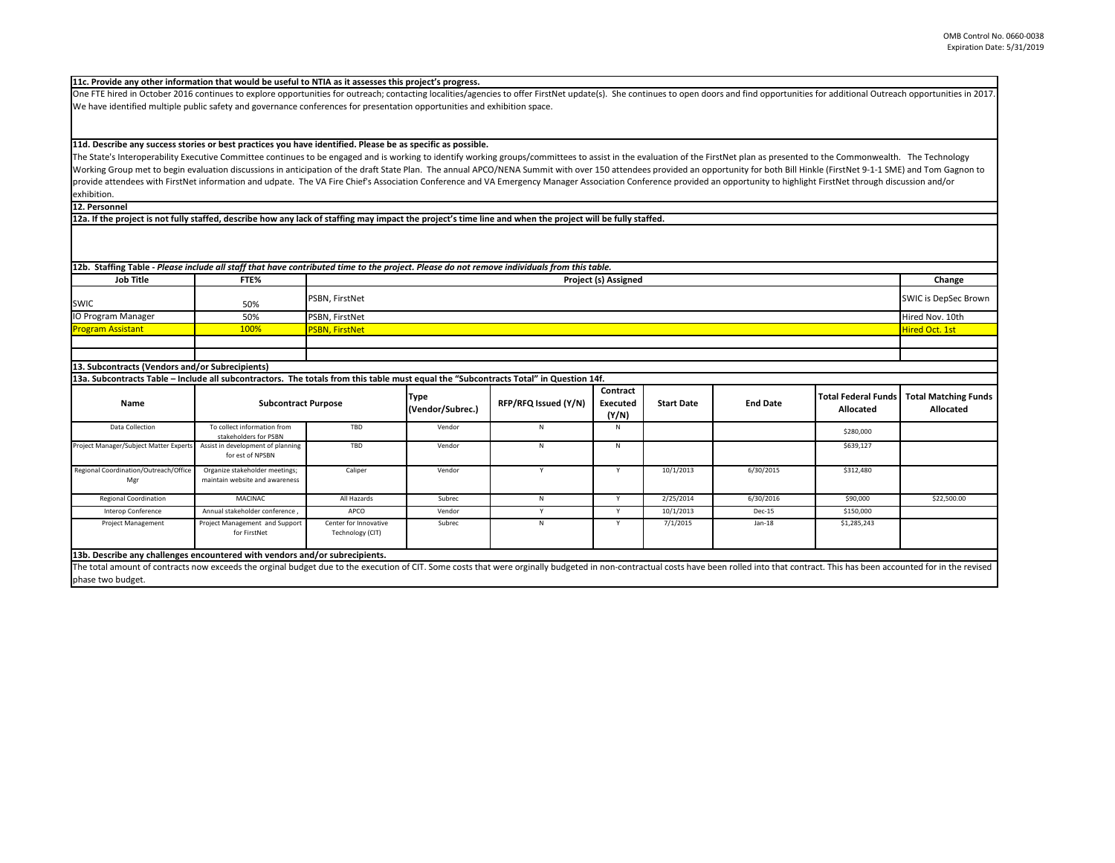| rs and find opportunities for additional Outreach opportunities in 2017 |                            |                             |  |  |
|-------------------------------------------------------------------------|----------------------------|-----------------------------|--|--|
|                                                                         |                            |                             |  |  |
|                                                                         |                            |                             |  |  |
|                                                                         |                            |                             |  |  |
|                                                                         |                            |                             |  |  |
| stNet plan as presented to the Commonwealth. The Technology             |                            |                             |  |  |
| ortunity for both Bill Hinkle (FirstNet 9-1-1 SME) and Tom Gagnon to    |                            |                             |  |  |
| n opportunity to highlight FirstNet through discussion and/or           |                            |                             |  |  |
|                                                                         |                            |                             |  |  |
|                                                                         |                            |                             |  |  |
|                                                                         |                            |                             |  |  |
|                                                                         |                            |                             |  |  |
|                                                                         |                            |                             |  |  |
|                                                                         |                            |                             |  |  |
|                                                                         |                            |                             |  |  |
|                                                                         |                            | Change                      |  |  |
|                                                                         |                            | <b>SWIC is DepSec Brown</b> |  |  |
|                                                                         |                            |                             |  |  |
|                                                                         |                            | Hired Nov. 10th             |  |  |
|                                                                         |                            | <b>Hired Oct. 1st</b>       |  |  |
|                                                                         |                            |                             |  |  |
|                                                                         |                            |                             |  |  |
|                                                                         |                            |                             |  |  |
|                                                                         |                            |                             |  |  |
|                                                                         | <b>Total Federal Funds</b> | <b>Total Matching Funds</b> |  |  |
| <b>End Date</b>                                                         | <b>Allocated</b>           | <b>Allocated</b>            |  |  |
|                                                                         |                            |                             |  |  |
|                                                                         |                            |                             |  |  |

|                                                                                                                                                                                                                                                     |                                                                  |                                           |                                 | 12b. Staffing Table - Please include all staff that have contributed time to the project. Please do not remove individuals from this table. |                                      |                   |                 |                                                |                                                 |
|-----------------------------------------------------------------------------------------------------------------------------------------------------------------------------------------------------------------------------------------------------|------------------------------------------------------------------|-------------------------------------------|---------------------------------|---------------------------------------------------------------------------------------------------------------------------------------------|--------------------------------------|-------------------|-----------------|------------------------------------------------|-------------------------------------------------|
| <b>Job Title</b>                                                                                                                                                                                                                                    | FTE%                                                             | <b>Project (s) Assigned</b>               |                                 |                                                                                                                                             |                                      |                   | Change          |                                                |                                                 |
| <b>SWIC</b>                                                                                                                                                                                                                                         | 50%                                                              | PSBN, FirstNet                            |                                 |                                                                                                                                             |                                      |                   |                 |                                                | <b>SWIC is DepSec Brown</b>                     |
| IO Program Manager                                                                                                                                                                                                                                  | 50%                                                              | PSBN, FirstNet                            |                                 |                                                                                                                                             |                                      |                   |                 |                                                | Hired Nov. 10th                                 |
| <b>Program Assistant</b>                                                                                                                                                                                                                            | 100%                                                             | <b>PSBN, FirstNet</b>                     |                                 |                                                                                                                                             |                                      |                   |                 |                                                | Hired Oct. 1st                                  |
|                                                                                                                                                                                                                                                     |                                                                  |                                           |                                 |                                                                                                                                             |                                      |                   |                 |                                                |                                                 |
| 13. Subcontracts (Vendors and/or Subrecipients)                                                                                                                                                                                                     |                                                                  |                                           |                                 |                                                                                                                                             |                                      |                   |                 |                                                |                                                 |
| 13a. Subcontracts Table - Include all subcontractors. The totals from this table must equal the "Subcontracts Total" in Question 14f.                                                                                                               |                                                                  |                                           |                                 |                                                                                                                                             |                                      |                   |                 |                                                |                                                 |
| <b>Name</b>                                                                                                                                                                                                                                         | <b>Subcontract Purpose</b>                                       |                                           | <b>Type</b><br>(Vendor/Subrec.) | RFP/RFQ Issued (Y/N)                                                                                                                        | Contract<br><b>Executed</b><br>(Y/N) | <b>Start Date</b> | <b>End Date</b> | <b>Total Federal Funds</b><br><b>Allocated</b> | <b>Total Matching Funds</b><br><b>Allocated</b> |
| Data Collection                                                                                                                                                                                                                                     | To collect information from<br>stakeholders for PSBN             | TBD                                       | Vendor                          | N                                                                                                                                           | N                                    |                   |                 | \$280,000                                      |                                                 |
| Project Manager/Subject Matter Experts                                                                                                                                                                                                              | Assist in development of planning<br>for est of NPSBN            | TBD                                       | Vendor                          | N                                                                                                                                           | N                                    |                   |                 | \$639,127                                      |                                                 |
| Regional Coordination/Outreach/Office<br>Mgr                                                                                                                                                                                                        | Organize stakeholder meetings;<br>maintain website and awareness | Caliper                                   | Vendor                          | $\mathsf{v}$                                                                                                                                | <b>V</b>                             | 10/1/2013         | 6/30/2015       | \$312,480                                      |                                                 |
| <b>Regional Coordination</b>                                                                                                                                                                                                                        | <b>MACINAC</b>                                                   | All Hazards                               | Subrec                          | N                                                                                                                                           | Y                                    | 2/25/2014         | 6/30/2016       | \$90,000                                       | \$22,500.00                                     |
| Interop Conference                                                                                                                                                                                                                                  | Annual stakeholder conference                                    | APCO                                      | Vendor                          | Y                                                                                                                                           | Y                                    | 10/1/2013         | Dec-15          | \$150,000                                      |                                                 |
| <b>Project Management</b>                                                                                                                                                                                                                           | Project Management and Support<br>for FirstNet                   | Center for Innovative<br>Technology (CIT) | Subrec                          | N                                                                                                                                           | Y                                    | 7/1/2015          | $Jan-18$        | \$1,285,243                                    |                                                 |
| 13b. Describe any challenges encountered with vendors and/or subrecipients.                                                                                                                                                                         |                                                                  |                                           |                                 |                                                                                                                                             |                                      |                   |                 |                                                |                                                 |
| The total amount of contracts now exceeds the orginal budget due to the execution of CIT. Some costs that were orginally budgeted in non-contractual costs have been rolled into that contract. This has been accounted for in<br>phase two budget. |                                                                  |                                           |                                 |                                                                                                                                             |                                      |                   |                 |                                                |                                                 |

The State's Interoperability Executive Committee continues to be engaged and is working to identify working groups/committees to assist in the evaluation of the Firs Working Group met to begin evaluation discussions in anticipation of the draft State Plan. The annual APCO/NENA Summit with over 150 attendees provided an oppo provide attendees with FirstNet information and udpate. The VA Fire Chief's Association Conference and VA Emergency Manager Association Conference provided ar exhibition.

One FTE hired in October 2016 continues to explore opportunities for outreach; contacting localities/agencies to offer FirstNet update(s). She continues to open door We have identified multiple public safety and governance conferences for presentation opportunities and exhibition space.

**12a. If the project is not fully staffed, describe how any lack of staffing may impact the project's time line and when the project will be fully staffed.**

**12. Personnel** 

## **11d. Describe any success stories or best practices you have identified. Please be as specific as possible.**

## **11c. Provide any other information that would be useful to NTIA as it assesses this project's progress.**